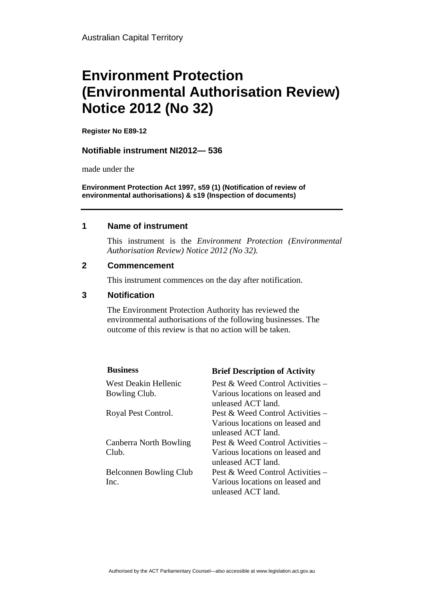# **Environment Protection (Environmental Authorisation Review) Notice 2012 (No 32)**

**Register No E89-12**

#### **Notifiable instrument NI2012— 536**

made under the

**Environment Protection Act 1997, s59 (1) (Notification of review of environmental authorisations) & s19 (Inspection of documents)**

#### **1 Name of instrument**

This instrument is the *Environment Protection (Environmental Authorisation Review) Notice 2012 (No 32).* 

#### **2 Commencement**

This instrument commences on the day after notification.

### **3 Notification**

The Environment Protection Authority has reviewed the environmental authorisations of the following businesses. The outcome of this review is that no action will be taken.

| <b>Business</b>               | <b>Brief Description of Activity</b>                  |
|-------------------------------|-------------------------------------------------------|
| West Deakin Hellenic          | Pest & Weed Control Activities $-$                    |
| Bowling Club.                 | Various locations on leased and<br>unleased ACT land. |
| Royal Pest Control.           | Pest & Weed Control Activities –                      |
|                               | Various locations on leased and                       |
|                               | unleased ACT land.                                    |
| Canberra North Bowling        | Pest & Weed Control Activities –                      |
| Club.                         | Various locations on leased and<br>unleased ACT land. |
| <b>Belconnen Bowling Club</b> | Pest & Weed Control Activities –                      |
| Inc.                          | Various locations on leased and<br>unleased ACT land. |